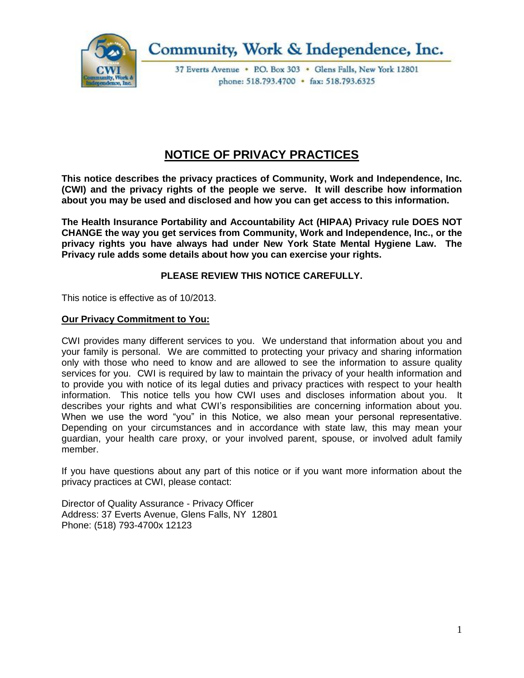

Community, Work & Independence, Inc.

37 Everts Avenue . P.O. Box 303 . Glens Falls, New York 12801 phone: 518.793.4700 • fax: 518.793.6325

# **NOTICE OF PRIVACY PRACTICES**

**This notice describes the privacy practices of Community, Work and Independence, Inc. (CWI) and the privacy rights of the people we serve. It will describe how information about you may be used and disclosed and how you can get access to this information.**

**The Health Insurance Portability and Accountability Act (HIPAA) Privacy rule DOES NOT CHANGE the way you get services from Community, Work and Independence, Inc., or the privacy rights you have always had under New York State Mental Hygiene Law. The Privacy rule adds some details about how you can exercise your rights.**

# **PLEASE REVIEW THIS NOTICE CAREFULLY.**

This notice is effective as of 10/2013.

#### **Our Privacy Commitment to You:**

CWI provides many different services to you. We understand that information about you and your family is personal. We are committed to protecting your privacy and sharing information only with those who need to know and are allowed to see the information to assure quality services for you. CWI is required by law to maintain the privacy of your health information and to provide you with notice of its legal duties and privacy practices with respect to your health information. This notice tells you how CWI uses and discloses information about you. It describes your rights and what CWI's responsibilities are concerning information about you. When we use the word "you" in this Notice, we also mean your personal representative. Depending on your circumstances and in accordance with state law, this may mean your guardian, your health care proxy, or your involved parent, spouse, or involved adult family member.

If you have questions about any part of this notice or if you want more information about the privacy practices at CWI, please contact:

Director of Quality Assurance - Privacy Officer Address: 37 Everts Avenue, Glens Falls, NY 12801 Phone: (518) 793-4700x 12123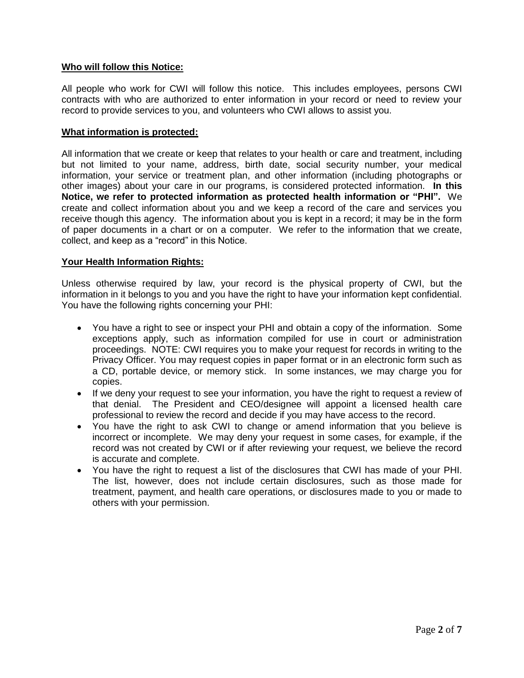## **Who will follow this Notice:**

All people who work for CWI will follow this notice. This includes employees, persons CWI contracts with who are authorized to enter information in your record or need to review your record to provide services to you, and volunteers who CWI allows to assist you.

#### **What information is protected:**

All information that we create or keep that relates to your health or care and treatment, including but not limited to your name, address, birth date, social security number, your medical information, your service or treatment plan, and other information (including photographs or other images) about your care in our programs, is considered protected information. **In this Notice, we refer to protected information as protected health information or "PHI".** We create and collect information about you and we keep a record of the care and services you receive though this agency. The information about you is kept in a record; it may be in the form of paper documents in a chart or on a computer. We refer to the information that we create, collect, and keep as a "record" in this Notice.

#### **Your Health Information Rights:**

Unless otherwise required by law, your record is the physical property of CWI, but the information in it belongs to you and you have the right to have your information kept confidential. You have the following rights concerning your PHI:

- You have a right to see or inspect your PHI and obtain a copy of the information. Some exceptions apply, such as information compiled for use in court or administration proceedings. NOTE: CWI requires you to make your request for records in writing to the Privacy Officer. You may request copies in paper format or in an electronic form such as a CD, portable device, or memory stick. In some instances, we may charge you for copies.
- If we deny your request to see your information, you have the right to request a review of that denial. The President and CEO/designee will appoint a licensed health care professional to review the record and decide if you may have access to the record.
- You have the right to ask CWI to change or amend information that you believe is incorrect or incomplete. We may deny your request in some cases, for example, if the record was not created by CWI or if after reviewing your request, we believe the record is accurate and complete.
- You have the right to request a list of the disclosures that CWI has made of your PHI. The list, however, does not include certain disclosures, such as those made for treatment, payment, and health care operations, or disclosures made to you or made to others with your permission.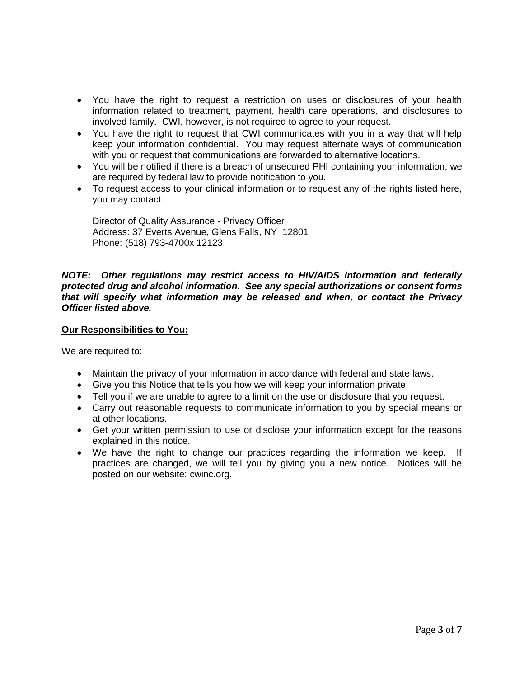- You have the right to request a restriction on uses or disclosures of your health information related to treatment, payment, health care operations, and disclosures to involved family. CWI, however, is not required to agree to your request.
- You have the right to request that CWI communicates with you in a way that will help keep your information confidential. You may request alternate ways of communication with you or request that communications are forwarded to alternative locations.
- You will be notified if there is a breach of unsecured PHI containing your information; we are required by federal law to provide notification to you.
- To request access to your clinical information or to request any of the rights listed here, you may contact:

Director of Quality Assurance - Privacy Officer Address: 37 Everts Avenue, Glens Falls, NY 12801 Phone: (518) 793-4700x 12123

### *NOTE: Other regulations may restrict access to HIV/AIDS information and federally protected drug and alcohol information. See any special authorizations or consent forms that will specify what information may be released and when, or contact the Privacy Officer listed above.*

## **Our Responsibilities to You:**

We are required to:

- Maintain the privacy of your information in accordance with federal and state laws.
- Give you this Notice that tells you how we will keep your information private.
- Tell you if we are unable to agree to a limit on the use or disclosure that you request.
- Carry out reasonable requests to communicate information to you by special means or at other locations.
- Get your written permission to use or disclose your information except for the reasons explained in this notice.
- We have the right to change our practices regarding the information we keep. If practices are changed, we will tell you by giving you a new notice. Notices will be posted on our website: cwinc.org.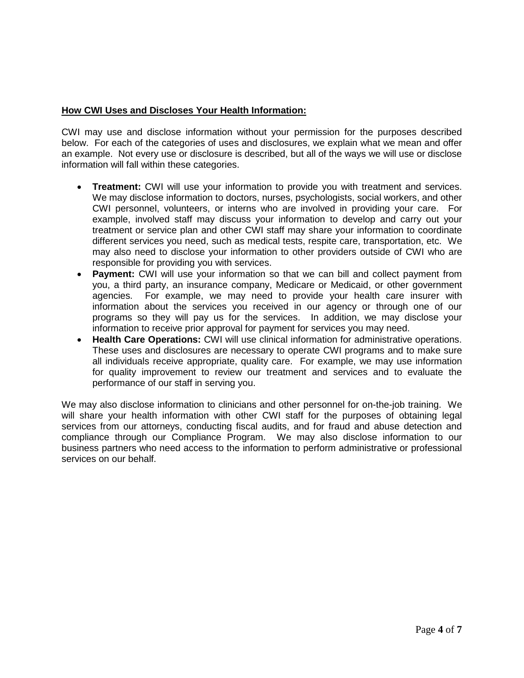## **How CWI Uses and Discloses Your Health Information:**

CWI may use and disclose information without your permission for the purposes described below. For each of the categories of uses and disclosures, we explain what we mean and offer an example. Not every use or disclosure is described, but all of the ways we will use or disclose information will fall within these categories.

- **Treatment:** CWI will use your information to provide you with treatment and services. We may disclose information to doctors, nurses, psychologists, social workers, and other CWI personnel, volunteers, or interns who are involved in providing your care. For example, involved staff may discuss your information to develop and carry out your treatment or service plan and other CWI staff may share your information to coordinate different services you need, such as medical tests, respite care, transportation, etc. We may also need to disclose your information to other providers outside of CWI who are responsible for providing you with services.
- **Payment:** CWI will use your information so that we can bill and collect payment from you, a third party, an insurance company, Medicare or Medicaid, or other government agencies. For example, we may need to provide your health care insurer with information about the services you received in our agency or through one of our programs so they will pay us for the services. In addition, we may disclose your information to receive prior approval for payment for services you may need.
- **Health Care Operations:** CWI will use clinical information for administrative operations. These uses and disclosures are necessary to operate CWI programs and to make sure all individuals receive appropriate, quality care. For example, we may use information for quality improvement to review our treatment and services and to evaluate the performance of our staff in serving you.

We may also disclose information to clinicians and other personnel for on-the-job training. We will share your health information with other CWI staff for the purposes of obtaining legal services from our attorneys, conducting fiscal audits, and for fraud and abuse detection and compliance through our Compliance Program. We may also disclose information to our business partners who need access to the information to perform administrative or professional services on our behalf.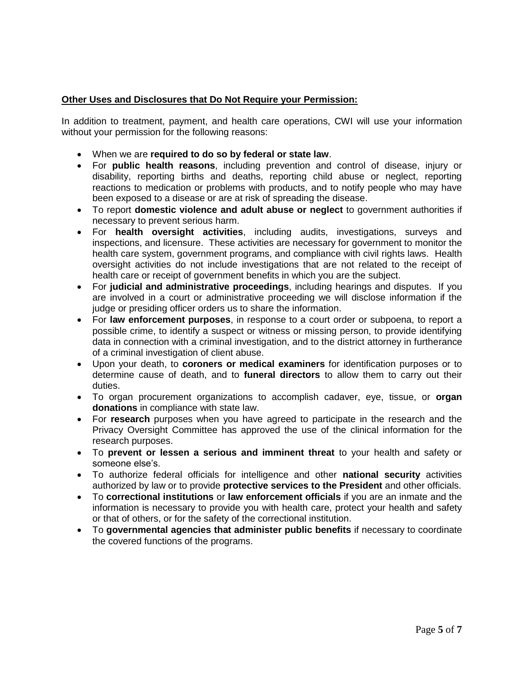## **Other Uses and Disclosures that Do Not Require your Permission:**

In addition to treatment, payment, and health care operations, CWI will use your information without your permission for the following reasons:

- When we are **required to do so by federal or state law**.
- For **public health reasons**, including prevention and control of disease, injury or disability, reporting births and deaths, reporting child abuse or neglect, reporting reactions to medication or problems with products, and to notify people who may have been exposed to a disease or are at risk of spreading the disease.
- To report **domestic violence and adult abuse or neglect** to government authorities if necessary to prevent serious harm.
- For **health oversight activities**, including audits, investigations, surveys and inspections, and licensure. These activities are necessary for government to monitor the health care system, government programs, and compliance with civil rights laws. Health oversight activities do not include investigations that are not related to the receipt of health care or receipt of government benefits in which you are the subject.
- For **judicial and administrative proceedings**, including hearings and disputes. If you are involved in a court or administrative proceeding we will disclose information if the judge or presiding officer orders us to share the information.
- For **law enforcement purposes**, in response to a court order or subpoena, to report a possible crime, to identify a suspect or witness or missing person, to provide identifying data in connection with a criminal investigation, and to the district attorney in furtherance of a criminal investigation of client abuse.
- Upon your death, to **coroners or medical examiners** for identification purposes or to determine cause of death, and to **funeral directors** to allow them to carry out their duties.
- To organ procurement organizations to accomplish cadaver, eye, tissue, or **organ donations** in compliance with state law.
- For **research** purposes when you have agreed to participate in the research and the Privacy Oversight Committee has approved the use of the clinical information for the research purposes.
- To **prevent or lessen a serious and imminent threat** to your health and safety or someone else's.
- To authorize federal officials for intelligence and other **national security** activities authorized by law or to provide **protective services to the President** and other officials.
- To **correctional institutions** or **law enforcement officials** if you are an inmate and the information is necessary to provide you with health care, protect your health and safety or that of others, or for the safety of the correctional institution.
- To **governmental agencies that administer public benefits** if necessary to coordinate the covered functions of the programs.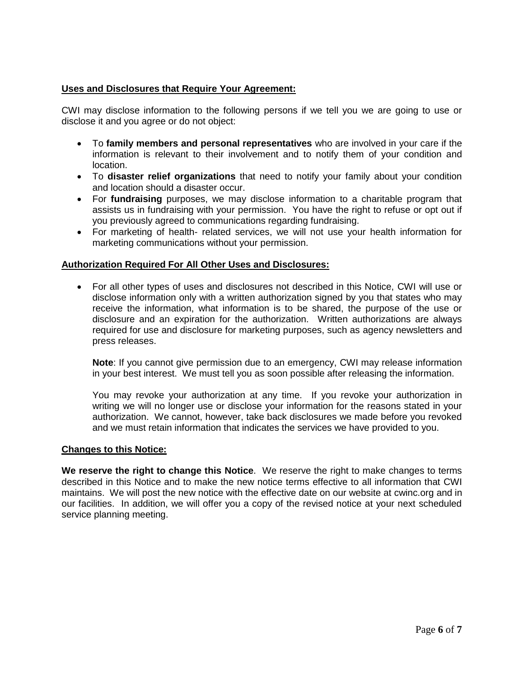## **Uses and Disclosures that Require Your Agreement:**

CWI may disclose information to the following persons if we tell you we are going to use or disclose it and you agree or do not object:

- To **family members and personal representatives** who are involved in your care if the information is relevant to their involvement and to notify them of your condition and location.
- To **disaster relief organizations** that need to notify your family about your condition and location should a disaster occur.
- For **fundraising** purposes, we may disclose information to a charitable program that assists us in fundraising with your permission. You have the right to refuse or opt out if you previously agreed to communications regarding fundraising.
- For marketing of health- related services, we will not use your health information for marketing communications without your permission.

#### **Authorization Required For All Other Uses and Disclosures:**

 For all other types of uses and disclosures not described in this Notice, CWI will use or disclose information only with a written authorization signed by you that states who may receive the information, what information is to be shared, the purpose of the use or disclosure and an expiration for the authorization. Written authorizations are always required for use and disclosure for marketing purposes, such as agency newsletters and press releases.

**Note**: If you cannot give permission due to an emergency, CWI may release information in your best interest. We must tell you as soon possible after releasing the information.

You may revoke your authorization at any time. If you revoke your authorization in writing we will no longer use or disclose your information for the reasons stated in your authorization. We cannot, however, take back disclosures we made before you revoked and we must retain information that indicates the services we have provided to you.

#### **Changes to this Notice:**

**We reserve the right to change this Notice**. We reserve the right to make changes to terms described in this Notice and to make the new notice terms effective to all information that CWI maintains. We will post the new notice with the effective date on our website at cwinc.org and in our facilities. In addition, we will offer you a copy of the revised notice at your next scheduled service planning meeting.